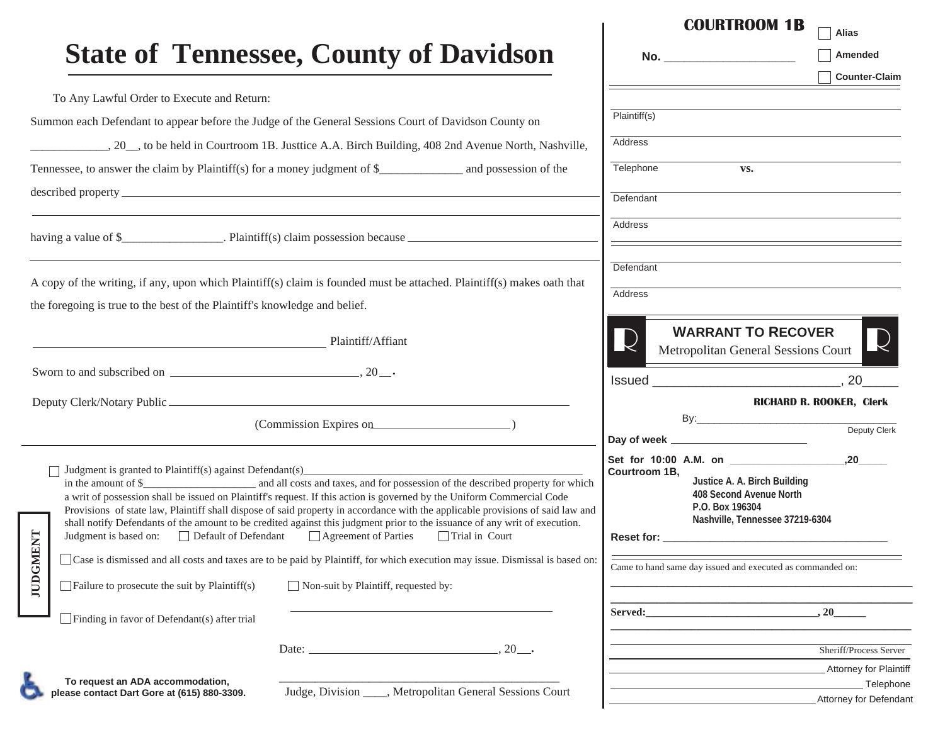|                                                                                                                                                                                                                                                                                                                                                                                                                                                                                                                                                             |                                                                                                       | <b>COURTROOM 1B</b><br><b>Alias</b>                                                                                                        |                                     |
|-------------------------------------------------------------------------------------------------------------------------------------------------------------------------------------------------------------------------------------------------------------------------------------------------------------------------------------------------------------------------------------------------------------------------------------------------------------------------------------------------------------------------------------------------------------|-------------------------------------------------------------------------------------------------------|--------------------------------------------------------------------------------------------------------------------------------------------|-------------------------------------|
|                                                                                                                                                                                                                                                                                                                                                                                                                                                                                                                                                             | <b>State of Tennessee, County of Davidson</b>                                                         |                                                                                                                                            | <b>Amended</b>                      |
|                                                                                                                                                                                                                                                                                                                                                                                                                                                                                                                                                             |                                                                                                       |                                                                                                                                            | <b>Counter-Claim</b>                |
| To Any Lawful Order to Execute and Return:                                                                                                                                                                                                                                                                                                                                                                                                                                                                                                                  |                                                                                                       |                                                                                                                                            |                                     |
| Summon each Defendant to appear before the Judge of the General Sessions Court of Davidson County on                                                                                                                                                                                                                                                                                                                                                                                                                                                        |                                                                                                       | Plaintiff(s)                                                                                                                               |                                     |
|                                                                                                                                                                                                                                                                                                                                                                                                                                                                                                                                                             | . 20, to be held in Courtroom 1B. Justtice A.A. Birch Building, 408 2nd Avenue North, Nashville,      | Address                                                                                                                                    |                                     |
| Tennessee, to answer the claim by Plaintiff(s) for a money judgment of $\frac{1}{2}$ and possession of the                                                                                                                                                                                                                                                                                                                                                                                                                                                  |                                                                                                       | Telephone<br>VS.                                                                                                                           |                                     |
|                                                                                                                                                                                                                                                                                                                                                                                                                                                                                                                                                             |                                                                                                       | Defendant                                                                                                                                  |                                     |
|                                                                                                                                                                                                                                                                                                                                                                                                                                                                                                                                                             | having a value of \$________________. Plaintiff(s) claim possession because _________________________ | Address                                                                                                                                    |                                     |
| A copy of the writing, if any, upon which Plaintiff(s) claim is founded must be attached. Plaintiff(s) makes oath that<br>the foregoing is true to the best of the Plaintiff's knowledge and belief.                                                                                                                                                                                                                                                                                                                                                        |                                                                                                       | Defendant<br>Address                                                                                                                       |                                     |
|                                                                                                                                                                                                                                                                                                                                                                                                                                                                                                                                                             | Plaintiff/Affiant                                                                                     | <b>WARRANT TO RECOVER</b><br>$\overline{\mathcal{N}}$<br>Metropolitan General Sessions Court                                               |                                     |
|                                                                                                                                                                                                                                                                                                                                                                                                                                                                                                                                                             |                                                                                                       | $lssued$ , 20                                                                                                                              |                                     |
|                                                                                                                                                                                                                                                                                                                                                                                                                                                                                                                                                             |                                                                                                       |                                                                                                                                            | <b>RICHARD R. ROOKER, Clerk</b>     |
|                                                                                                                                                                                                                                                                                                                                                                                                                                                                                                                                                             | (Commission Expires on 2008)                                                                          |                                                                                                                                            | Deputy Clerk                        |
|                                                                                                                                                                                                                                                                                                                                                                                                                                                                                                                                                             |                                                                                                       |                                                                                                                                            | ,20                                 |
| Judgment is granted to Plaintiff(s) against Defendant(s)<br>a writ of possession shall be issued on Plaintiff's request. If this action is governed by the Uniform Commercial Code<br>Provisions of state law, Plaintiff shall dispose of said property in accordance with the applicable provisions of said law and<br>shall notify Defendants of the amount to be credited against this judgment prior to the issuance of any writ of execution.<br>ENT<br>Default of Defendant<br><b>Agreement of Parties</b><br>Judgment is based on:<br>Trial in Court |                                                                                                       | Courtroom 1B,<br>Justice A. A. Birch Building<br>408 Second Avenue North<br>P.O. Box 196304<br>Nashville, Tennessee 37219-6304             |                                     |
| Case is dismissed and all costs and taxes are to be paid by Plaintiff, for which execution may issue. Dismissal is based on:                                                                                                                                                                                                                                                                                                                                                                                                                                |                                                                                                       | Came to hand same day issued and executed as commanded on:                                                                                 |                                     |
| <b>NEDCINI</b><br>$\Box$ Failure to prosecute the suit by Plaintiff(s)                                                                                                                                                                                                                                                                                                                                                                                                                                                                                      | Non-suit by Plaintiff, requested by:                                                                  |                                                                                                                                            |                                     |
| $\Box$ Finding in favor of Defendant(s) after trial                                                                                                                                                                                                                                                                                                                                                                                                                                                                                                         |                                                                                                       | the control of the control of the control of the control of the control of<br>Served:<br><u> 1980 - Johann Barbara, martxa alemaniar a</u> | , 20                                |
|                                                                                                                                                                                                                                                                                                                                                                                                                                                                                                                                                             | Date:                                                                                                 |                                                                                                                                            | Sheriff/Process Server              |
| To request an ADA accommodation,                                                                                                                                                                                                                                                                                                                                                                                                                                                                                                                            |                                                                                                       |                                                                                                                                            | Attorney for Plaintiff              |
| please contact Dart Gore at (615) 880-3309.                                                                                                                                                                                                                                                                                                                                                                                                                                                                                                                 | Judge, Division _____, Metropolitan General Sessions Court                                            |                                                                                                                                            | Telephone<br>Attorney for Defendant |

.